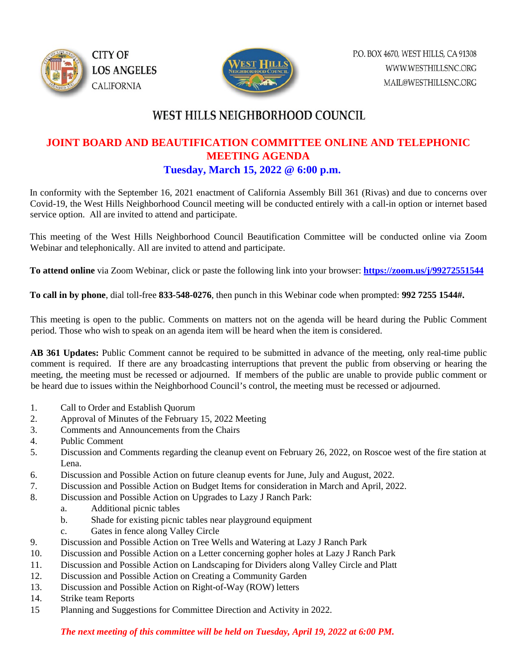



# WEST HILLS NEIGHBORHOOD COUNCIL

### **JOINT BOARD AND BEAUTIFICATION COMMITTEE ONLINE AND TELEPHONIC MEETING AGENDA Tuesday, March 15, 2022 @ 6:00 p.m.**

In conformity with the September 16, 2021 enactment of California Assembly Bill 361 (Rivas) and due to concerns over Covid-19, the West Hills Neighborhood Council meeting will be conducted entirely with a call-in option or internet based service option. All are invited to attend and participate.

This meeting of the West Hills Neighborhood Council Beautification Committee will be conducted online via Zoom Webinar and telephonically. All are invited to attend and participate.

**To attend online** via Zoom Webinar, click or paste the following link into your browser: **<https://zoom.us/j/99272551544>**

**To call in by phone**, dial toll-free **833-548-0276**, then punch in this Webinar code when prompted: **992 7255 1544#.** 

This meeting is open to the public. Comments on matters not on the agenda will be heard during the Public Comment period. Those who wish to speak on an agenda item will be heard when the item is considered.

**AB 361 Updates:** Public Comment cannot be required to be submitted in advance of the meeting, only real-time public comment is required. If there are any broadcasting interruptions that prevent the public from observing or hearing the meeting, the meeting must be recessed or adjourned. If members of the public are unable to provide public comment or be heard due to issues within the Neighborhood Council's control, the meeting must be recessed or adjourned.

- 1. Call to Order and Establish Quorum
- 2. Approval of Minutes of the February 15, 2022 Meeting
- 3. Comments and Announcements from the Chairs
- 4. Public Comment
- 5. Discussion and Comments regarding the cleanup event on February 26, 2022, on Roscoe west of the fire station at Lena.
- 6. Discussion and Possible Action on future cleanup events for June, July and August, 2022.
- 7. Discussion and Possible Action on Budget Items for consideration in March and April, 2022.
- 8. Discussion and Possible Action on Upgrades to Lazy J Ranch Park:
	- a. Additional picnic tables
	- b. Shade for existing picnic tables near playground equipment
	- c. Gates in fence along Valley Circle
- 9. Discussion and Possible Action on Tree Wells and Watering at Lazy J Ranch Park
- 10. Discussion and Possible Action on a Letter concerning gopher holes at Lazy J Ranch Park
- 11. Discussion and Possible Action on Landscaping for Dividers along Valley Circle and Platt
- 12. Discussion and Possible Action on Creating a Community Garden
- 13. Discussion and Possible Action on Right-of-Way (ROW) letters
- 14. Strike team Reports
- 15 Planning and Suggestions for Committee Direction and Activity in 2022.

#### *The next meeting of this committee will be held on Tuesday, April 19, 2022 at 6:00 PM.*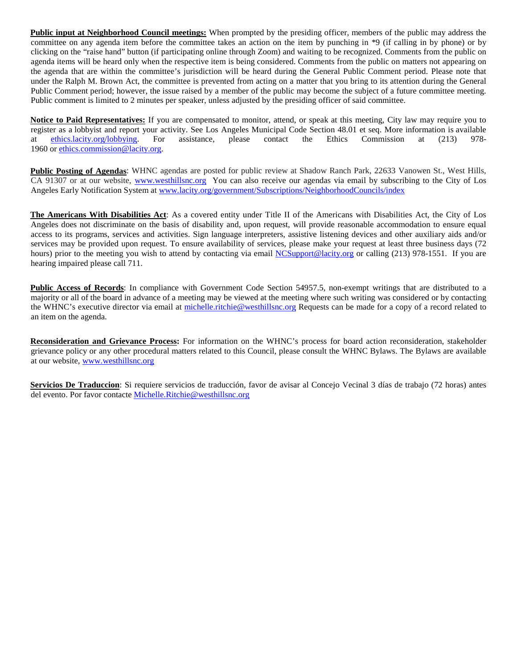**Public input at Neighborhood Council meetings:** When prompted by the presiding officer, members of the public may address the committee on any agenda item before the committee takes an action on the item by punching in \*9 (if calling in by phone) or by clicking on the "raise hand" button (if participating online through Zoom) and waiting to be recognized. Comments from the public on agenda items will be heard only when the respective item is being considered. Comments from the public on matters not appearing on the agenda that are within the committee's jurisdiction will be heard during the General Public Comment period. Please note that under the Ralph M. Brown Act, the committee is prevented from acting on a matter that you bring to its attention during the General Public Comment period; however, the issue raised by a member of the public may become the subject of a future committee meeting. Public comment is limited to 2 minutes per speaker, unless adjusted by the presiding officer of said committee.

**Notice to Paid Representatives:** If you are compensated to monitor, attend, or speak at this meeting, City law may require you to register as a lobbyist and report your activity. See Los Angeles Municipal Code Section 48.01 et seq. More information is available at ethics. lacity.org/lobbying. For assistance, please contact the Ethics Commission at (2 at [ethics.lacity.org/lobbying.](http://ethics.lacity.org/lobbying) For assistance, please contact the Ethics Commission at (213) 978- 1960 or [ethics.commission@lacity.org.](javascript:void(0);)

**Public Posting of Agendas**: WHNC agendas are posted for public review at Shadow Ranch Park, 22633 Vanowen St., West Hills, CA 91307 or at our website, [www.westhillsnc.org](http://www.westhillsnc.org/) You can also receive our agendas via email by subscribing to the City of Los Angeles Early Notification System at [www.lacity.org/government/Subscriptions/NeighborhoodCouncils/index](http://www.lacity.org/government/Subscriptions/NeighborhoodCouncils/index)

**The Americans With Disabilities Act**: As a covered entity under Title II of the Americans with Disabilities Act, the City of Los Angeles does not discriminate on the basis of disability and, upon request, will provide reasonable accommodation to ensure equal access to its programs, services and activities. Sign language interpreters, assistive listening devices and other auxiliary aids and/or services may be provided upon request. To ensure availability of services, please make your request at least three business days (72 hours) prior to the meeting you wish to attend by contacting via email [NCSupport@lacity.org](mailto:NCSupport@lacity.org) or calling (213) 978-1551. If you are hearing impaired please call 711.

**Public Access of Records**: In compliance with Government Code Section 54957.5, non-exempt writings that are distributed to a majority or all of the board in advance of a meeting may be viewed at the meeting where such writing was considered or by contacting the WHNC's executive director via email at [michelle.ritchie@westhillsnc.org](mailto:michelle.ritchie@westhillsnc.org) Requests can be made for a copy of a record related to an item on the agenda.

**Reconsideration and Grievance Process:** For information on the WHNC's process for board action reconsideration, stakeholder grievance policy or any other procedural matters related to this Council, please consult the WHNC Bylaws. The Bylaws are available at our website, [www.westhillsnc.org](http://www.westhillsnc.org/)

**Servicios De Traduccion**: Si requiere servicios de traducción, favor de avisar al Concejo Vecinal 3 días de trabajo (72 horas) antes del evento. Por favor contact[e Michelle.Ritchie@westhillsnc.org](mailto:Michelle.Ritchie@westhillsnc.org)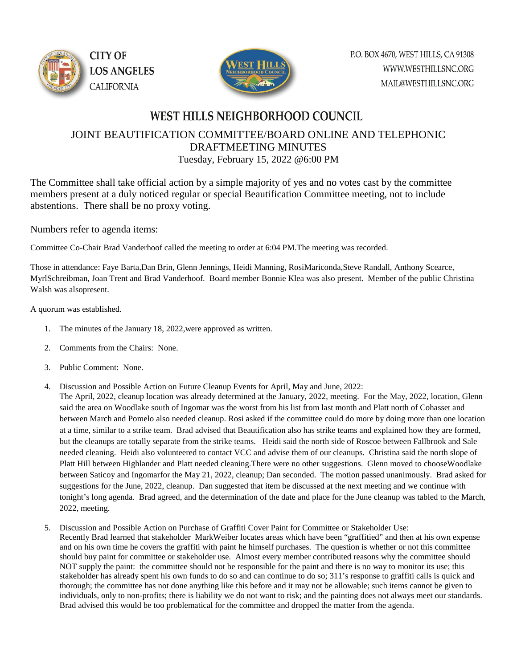



## WEST HILLS NEIGHBORHOOD COUNCIL

### JOINT BEAUTIFICATION COMMITTEE/BOARD ONLINE AND TELEPHONIC DRAFTMEETING MINUTES Tuesday, February 15, 2022 @6:00 PM

The Committee shall take official action by a simple majority of yes and no votes cast by the committee members present at a duly noticed regular or special Beautification Committee meeting, not to include abstentions. There shall be no proxy voting.

Numbers refer to agenda items:

Committee Co-Chair Brad Vanderhoof called the meeting to order at 6:04 PM.The meeting was recorded.

Those in attendance: Faye Barta,Dan Brin, Glenn Jennings, Heidi Manning, RosiMariconda,Steve Randall, Anthony Scearce, MyrlSchreibman, Joan Trent and Brad Vanderhoof. Board member Bonnie Klea was also present. Member of the public Christina Walsh was alsopresent.

A quorum was established.

- 1. The minutes of the January 18, 2022,were approved as written.
- 2. Comments from the Chairs: None.
- 3. Public Comment: None.
- 4. Discussion and Possible Action on Future Cleanup Events for April, May and June, 2022:

The April, 2022, cleanup location was already determined at the January, 2022, meeting. For the May, 2022, location, Glenn said the area on Woodlake south of Ingomar was the worst from his list from last month and Platt north of Cohasset and between March and Pomelo also needed cleanup. Rosi asked if the committee could do more by doing more than one location at a time, similar to a strike team. Brad advised that Beautification also has strike teams and explained how they are formed, but the cleanups are totally separate from the strike teams. Heidi said the north side of Roscoe between Fallbrook and Sale needed cleaning. Heidi also volunteered to contact VCC and advise them of our cleanups. Christina said the north slope of Platt Hill between Highlander and Platt needed cleaning.There were no other suggestions. Glenn moved to chooseWoodlake between Saticoy and Ingomarfor the May 21, 2022, cleanup; Dan seconded. The motion passed unanimously. Brad asked for suggestions for the June, 2022, cleanup. Dan suggested that item be discussed at the next meeting and we continue with tonight's long agenda. Brad agreed, and the determination of the date and place for the June cleanup was tabled to the March, 2022, meeting.

5. Discussion and Possible Action on Purchase of Graffiti Cover Paint for Committee or Stakeholder Use: Recently Brad learned that stakeholder MarkWeiber locates areas which have been "graffitied" and then at his own expense and on his own time he covers the graffiti with paint he himself purchases. The question is whether or not this committee should buy paint for committee or stakeholder use. Almost every member contributed reasons why the committee should NOT supply the paint: the committee should not be responsible for the paint and there is no way to monitor its use; this stakeholder has already spent his own funds to do so and can continue to do so; 311's response to graffiti calls is quick and thorough; the committee has not done anything like this before and it may not be allowable; such items cannot be given to individuals, only to non-profits; there is liability we do not want to risk; and the painting does not always meet our standards. Brad advised this would be too problematical for the committee and dropped the matter from the agenda.